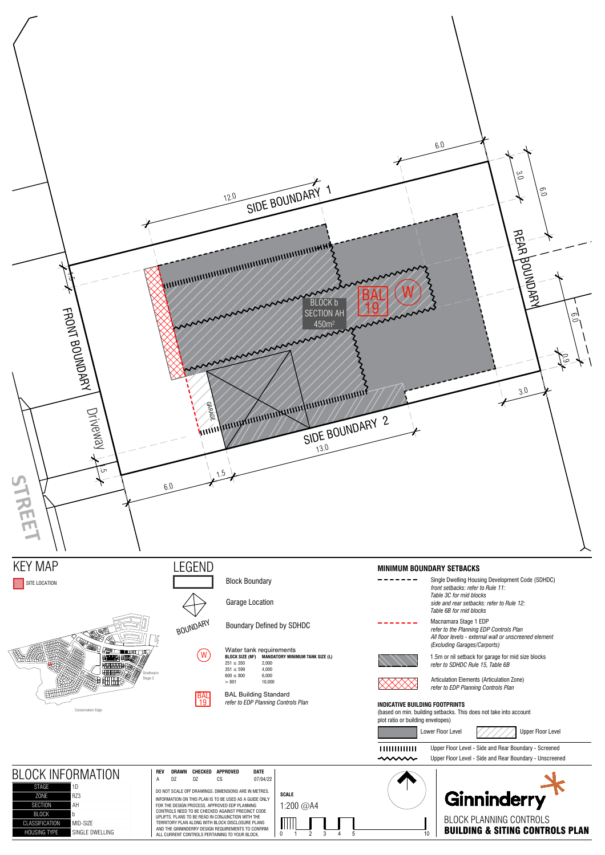